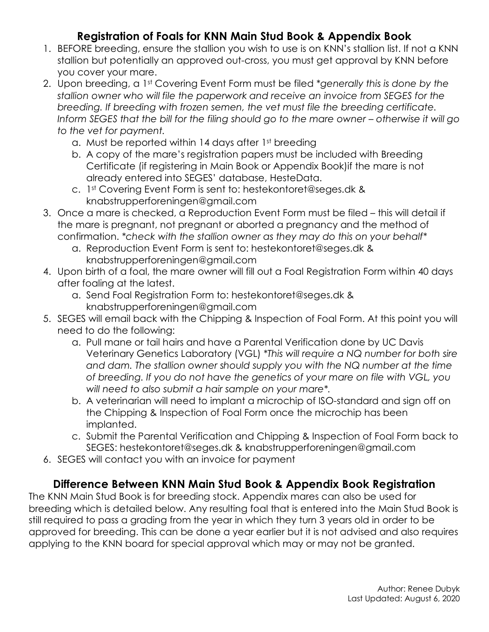# **Registration of Foals for KNN Main Stud Book & Appendix Book**

- 1. BEFORE breeding, ensure the stallion you wish to use is on KNN's stallion list. If not a KNN stallion but potentially an approved out-cross, you must get approval by KNN before you cover your mare.
- 2. Upon breeding, a 1st Covering Event Form must be filed *\*generally this is done by the stallion owner who will file the paperwork and receive an invoice from SEGES for the breeding. If breeding with frozen semen, the vet must file the breeding certificate. Inform SEGES that the bill for the filing should go to the mare owner – otherwise it will go to the vet for payment.*
	- a. Must be reported within 14 days after 1st breeding
	- b. A copy of the mare's registration papers must be included with Breeding Certificate (if registering in Main Book or Appendix Book)if the mare is not already entered into SEGES' database, HesteData.
	- c. 1st Covering Event Form is sent to: hestekontoret@seges.dk & knabstrupperforeningen@gmail.com
- 3. Once a mare is checked, a Reproduction Event Form must be filed this will detail if the mare is pregnant, not pregnant or aborted a pregnancy and the method of confirmation. *\*check with the stallion owner as they may do this on your behalf\**
	- a. Reproduction Event Form is sent to: hestekontoret@seges.dk & knabstrupperforeningen@gmail.com
- 4. Upon birth of a foal, the mare owner will fill out a Foal Registration Form within 40 days after foaling at the latest.
	- a. Send Foal Registration Form to: hestekontoret@seges.dk & knabstrupperforeningen@gmail.com
- 5. SEGES will email back with the Chipping & Inspection of Foal Form. At this point you will need to do the following:
	- a. Pull mane or tail hairs and have a Parental Verification done by UC Davis Veterinary Genetics Laboratory (VGL) *\*This will require a NQ number for both sire*  and dam. The stallion owner should supply you with the NQ number at the time *of breeding. If you do not have the genetics of your mare on file with VGL, you will need to also submit a hair sample on your mare\*.*
	- b. A veterinarian will need to implant a microchip of ISO-standard and sign off on the Chipping & Inspection of Foal Form once the microchip has been implanted.
	- c. Submit the Parental Verification and Chipping & Inspection of Foal Form back to SEGES: hestekontoret@seges.dk & knabstrupperforeningen@gmail.com
- 6. SEGES will contact you with an invoice for payment

## **Difference Between KNN Main Stud Book & Appendix Book Registration**

The KNN Main Stud Book is for breeding stock. Appendix mares can also be used for breeding which is detailed below. Any resulting foal that is entered into the Main Stud Book is still required to pass a grading from the year in which they turn 3 years old in order to be approved for breeding. This can be done a year earlier but it is not advised and also requires applying to the KNN board for special approval which may or may not be granted.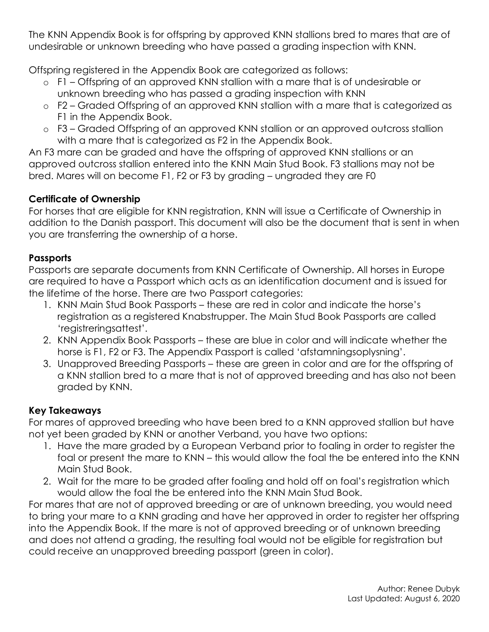The KNN Appendix Book is for offspring by approved KNN stallions bred to mares that are of undesirable or unknown breeding who have passed a grading inspection with KNN.

Offspring registered in the Appendix Book are categorized as follows:

- o F1 Offspring of an approved KNN stallion with a mare that is of undesirable or unknown breeding who has passed a grading inspection with KNN
- o F2 Graded Offspring of an approved KNN stallion with a mare that is categorized as F1 in the Appendix Book.
- o F3 Graded Offspring of an approved KNN stallion or an approved outcross stallion with a mare that is categorized as F2 in the Appendix Book.

An F3 mare can be graded and have the offspring of approved KNN stallions or an approved outcross stallion entered into the KNN Main Stud Book. F3 stallions may not be bred. Mares will on become F1, F2 or F3 by grading – ungraded they are F0

#### **Certificate of Ownership**

For horses that are eligible for KNN registration, KNN will issue a Certificate of Ownership in addition to the Danish passport. This document will also be the document that is sent in when you are transferring the ownership of a horse.

#### **Passports**

Passports are separate documents from KNN Certificate of Ownership. All horses in Europe are required to have a Passport which acts as an identification document and is issued for the lifetime of the horse. There are two Passport categories:

- 1. KNN Main Stud Book Passports these are red in color and indicate the horse's registration as a registered Knabstrupper. The Main Stud Book Passports are called 'registreringsattest'.
- 2. KNN Appendix Book Passports these are blue in color and will indicate whether the horse is F1, F2 or F3. The Appendix Passport is called 'afstamningsoplysning'.
- 3. Unapproved Breeding Passports these are green in color and are for the offspring of a KNN stallion bred to a mare that is not of approved breeding and has also not been graded by KNN.

#### **Key Takeaways**

For mares of approved breeding who have been bred to a KNN approved stallion but have not yet been graded by KNN or another Verband, you have two options:

- 1. Have the mare graded by a European Verband prior to foaling in order to register the foal or present the mare to KNN – this would allow the foal the be entered into the KNN Main Stud Book.
- 2. Wait for the mare to be graded after foaling and hold off on foal's registration which would allow the foal the be entered into the KNN Main Stud Book.

For mares that are not of approved breeding or are of unknown breeding, you would need to bring your mare to a KNN grading and have her approved in order to register her offspring into the Appendix Book. If the mare is not of approved breeding or of unknown breeding and does not attend a grading, the resulting foal would not be eligible for registration but could receive an unapproved breeding passport (green in color).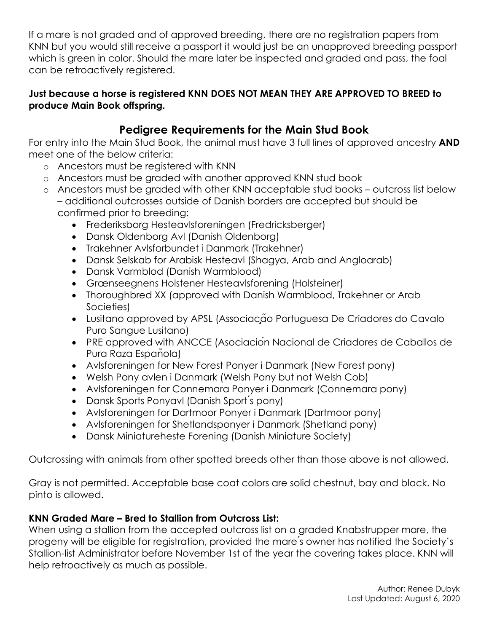If a mare is not graded and of approved breeding, there are no registration papers from KNN but you would still receive a passport it would just be an unapproved breeding passport which is green in color. Should the mare later be inspected and graded and pass, the foal can be retroactively registered.

#### **Just because a horse is registered KNN DOES NOT MEAN THEY ARE APPROVED TO BREED to produce Main Book offspring.**

# **Pedigree Requirements for the Main Stud Book**

For entry into the Main Stud Book, the animal must have 3 full lines of approved ancestry **AND** meet one of the below criteria:

- o Ancestors must be registered with KNN
- o Ancestors must be graded with another approved KNN stud book
- o Ancestors must be graded with other KNN acceptable stud books outcross list below – additional outcrosses outside of Danish borders are accepted but should be confirmed prior to breeding:
	- Frederiksborg Hesteavlsforeningen (Fredricksberger)
	- Dansk Oldenborg Avl (Danish Oldenborg)
	- Trakehner Avlsforbundet i Danmark (Trakehner)
	- Dansk Selskab for Arabisk Hesteavl (Shagya, Arab and Angloarab)
	- Dansk Varmblod (Danish Warmblood)
	- Grænseegnens Holstener Hesteavlsforening (Holsteiner)
	- Thoroughbred XX (approved with Danish Warmblood, Trakehner or Arab Societies)
	- Lusitano approved by APSL (Associação Portuguesa De Criadores do Cavalo Puro Sangue Lusitano)
	- PRE approved with ANCCE (Asociación Nacional de Criadores de Caballos de Pura Raza Española)
	- Avlsforeningen for New Forest Ponyer i Danmark (New Forest pony)
	- Welsh Pony avlen i Danmark (Welsh Pony but not Welsh Cob)
	- Avlsforeningen for Connemara Ponyer i Danmark (Connemara pony)
	- Dansk Sports Ponyavl (Danish Sport's pony)
	- Avlsforeningen for Dartmoor Ponyer i Danmark (Dartmoor pony)
	- Avlsforeningen for Shetlandsponyer i Danmark (Shetland pony)
	- Dansk Miniatureheste Forening (Danish Miniature Society)

Outcrossing with animals from other spotted breeds other than those above is not allowed.

Gray is not permitted. Acceptable base coat colors are solid chestnut, bay and black. No pinto is allowed.

## **KNN Graded Mare – Bred to Stallion from Outcross List:**

When using a stallion from the accepted outcross list on a graded Knabstrupper mare, the progeny will be eligible for registration, provided the mare ́s owner has notified the Society's Stallion-list Administrator before November 1st of the year the covering takes place. KNN will help retroactively as much as possible.